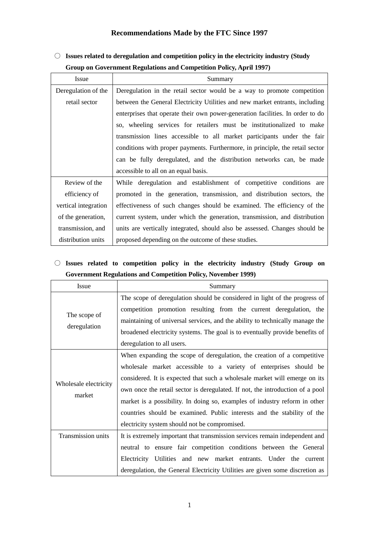#### **Recommendations Made by the FTC Since 1997**

○ **Issues related to deregulation and competition policy in the electricity industry (Study Group on Government Regulations and Competition Policy, April 1997)**

| <b>Issue</b>         | Summary                                                                        |
|----------------------|--------------------------------------------------------------------------------|
| Deregulation of the  | Deregulation in the retail sector would be a way to promote competition        |
| retail sector        | between the General Electricity Utilities and new market entrants, including   |
|                      | enterprises that operate their own power-generation facilities. In order to do |
|                      | so, wheeling services for retailers must be institutionalized to make          |
|                      | transmission lines accessible to all market participants under the fair        |
|                      | conditions with proper payments. Furthermore, in principle, the retail sector  |
|                      | can be fully deregulated, and the distribution networks can, be made           |
|                      | accessible to all on an equal basis.                                           |
| Review of the        | While deregulation and establishment of competitive conditions are             |
| efficiency of        | promoted in the generation, transmission, and distribution sectors, the        |
| vertical integration | effectiveness of such changes should be examined. The efficiency of the        |
| of the generation,   | current system, under which the generation, transmission, and distribution     |
| transmission, and    | units are vertically integrated, should also be assessed. Changes should be    |
| distribution units   | proposed depending on the outcome of these studies.                            |

#### ○ **Issues related to competition policy in the electricity industry (Study Group on Government Regulations and Competition Policy, November 1999)**

| Issue                           | Summary                                                                       |
|---------------------------------|-------------------------------------------------------------------------------|
| The scope of<br>deregulation    | The scope of deregulation should be considered in light of the progress of    |
|                                 | competition promotion resulting from the current deregulation, the            |
|                                 | maintaining of universal services, and the ability to technically manage the  |
|                                 | broadened electricity systems. The goal is to eventually provide benefits of  |
|                                 | deregulation to all users.                                                    |
|                                 | When expanding the scope of deregulation, the creation of a competitive       |
|                                 | wholesale market accessible to a variety of enterprises should be             |
|                                 | considered. It is expected that such a wholesale market will emerge on its    |
| Wholesale electricity<br>market | own once the retail sector is deregulated. If not, the introduction of a pool |
|                                 | market is a possibility. In doing so, examples of industry reform in other    |
|                                 | countries should be examined. Public interests and the stability of the       |
|                                 | electricity system should not be compromised.                                 |
| Transmission units              | It is extremely important that transmission services remain independent and   |
|                                 | neutral to ensure fair competition conditions between the General             |
|                                 | Electricity Utilities and new market entrants. Under the<br>current           |
|                                 | deregulation, the General Electricity Utilities are given some discretion as  |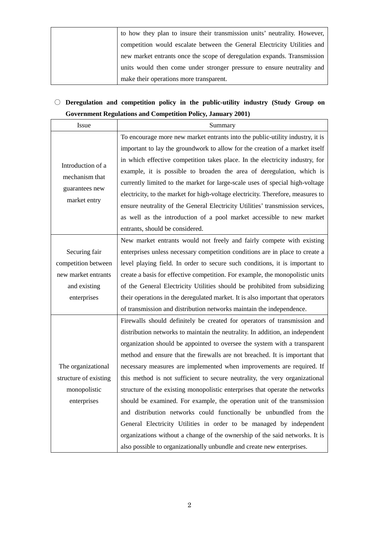| to how they plan to insure their transmission units' neutrality. However, |
|---------------------------------------------------------------------------|
| competition would escalate between the General Electricity Utilities and  |
| new market entrants once the scope of deregulation expands. Transmission  |
| units would then come under stronger pressure to ensure neutrality and    |
| make their operations more transparent.                                   |

## ○ **Deregulation and competition policy in the public-utility industry (Study Group on Government Regulations and Competition Policy, January 2001)**

| Issue                 | Summary                                                                         |
|-----------------------|---------------------------------------------------------------------------------|
|                       | To encourage more new market entrants into the public-utility industry, it is   |
|                       | important to lay the groundwork to allow for the creation of a market itself    |
|                       | in which effective competition takes place. In the electricity industry, for    |
| Introduction of a     | example, it is possible to broaden the area of deregulation, which is           |
| mechanism that        | currently limited to the market for large-scale uses of special high-voltage    |
| guarantees new        | electricity, to the market for high-voltage electricity. Therefore, measures to |
| market entry          | ensure neutrality of the General Electricity Utilities' transmission services,  |
|                       | as well as the introduction of a pool market accessible to new market           |
|                       | entrants, should be considered.                                                 |
|                       | New market entrants would not freely and fairly compete with existing           |
| Securing fair         | enterprises unless necessary competition conditions are in place to create a    |
| competition between   | level playing field. In order to secure such conditions, it is important to     |
| new market entrants   | create a basis for effective competition. For example, the monopolistic units   |
| and existing          | of the General Electricity Utilities should be prohibited from subsidizing      |
| enterprises           | their operations in the deregulated market. It is also important that operators |
|                       | of transmission and distribution networks maintain the independence.            |
|                       | Firewalls should definitely be created for operators of transmission and        |
|                       | distribution networks to maintain the neutrality. In addition, an independent   |
|                       | organization should be appointed to oversee the system with a transparent       |
|                       | method and ensure that the firewalls are not breached. It is important that     |
| The organizational    | necessary measures are implemented when improvements are required. If           |
| structure of existing | this method is not sufficient to secure neutrality, the very organizational     |
| monopolistic          | structure of the existing monopolistic enterprises that operate the networks    |
| enterprises           | should be examined. For example, the operation unit of the transmission         |
|                       | and distribution networks could functionally be unbundled from the              |
|                       | General Electricity Utilities in order to be managed by independent             |
|                       | organizations without a change of the ownership of the said networks. It is     |
|                       | also possible to organizationally unbundle and create new enterprises.          |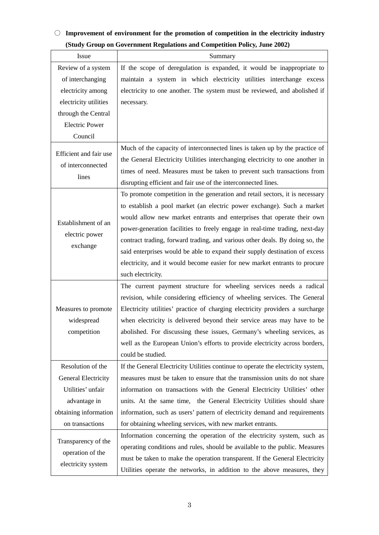### ○ **Improvement of environment for the promotion of competition in the electricity industry (Study Group on Government Regulations and Competition Policy, June 2002)**

| Issue                                                         | Summary                                                                          |
|---------------------------------------------------------------|----------------------------------------------------------------------------------|
| Review of a system                                            | If the scope of deregulation is expanded, it would be inappropriate to           |
| of interchanging                                              | maintain a system in which electricity utilities interchange excess              |
| electricity among                                             | electricity to one another. The system must be reviewed, and abolished if        |
| electricity utilities                                         | necessary.                                                                       |
| through the Central                                           |                                                                                  |
| <b>Electric Power</b>                                         |                                                                                  |
| Council                                                       |                                                                                  |
| Efficient and fair use                                        | Much of the capacity of interconnected lines is taken up by the practice of      |
|                                                               | the General Electricity Utilities interchanging electricity to one another in    |
| of interconnected                                             | times of need. Measures must be taken to prevent such transactions from          |
| lines                                                         | disrupting efficient and fair use of the interconnected lines.                   |
|                                                               | To promote competition in the generation and retail sectors, it is necessary     |
|                                                               | to establish a pool market (an electric power exchange). Such a market           |
| Establishment of an                                           | would allow new market entrants and enterprises that operate their own           |
| electric power                                                | power-generation facilities to freely engage in real-time trading, next-day      |
| exchange                                                      | contract trading, forward trading, and various other deals. By doing so, the     |
|                                                               | said enterprises would be able to expand their supply destination of excess      |
|                                                               | electricity, and it would become easier for new market entrants to procure       |
|                                                               | such electricity.                                                                |
|                                                               | The current payment structure for wheeling services needs a radical              |
|                                                               | revision, while considering efficiency of wheeling services. The General         |
| Measures to promote                                           | Electricity utilities' practice of charging electricity providers a surcharge    |
| widespread                                                    | when electricity is delivered beyond their service areas may have to be          |
| competition                                                   | abolished. For discussing these issues, Germany's wheeling services, as          |
|                                                               | well as the European Union's efforts to provide electricity across borders,      |
|                                                               | could be studied.                                                                |
| Resolution of the                                             | If the General Electricity Utilities continue to operate the electricity system, |
| General Electricity                                           | measures must be taken to ensure that the transmission units do not share        |
| Utilities' unfair                                             | information on transactions with the General Electricity Utilities' other        |
| advantage in                                                  | units. At the same time, the General Electricity Utilities should share          |
| obtaining information                                         | information, such as users' pattern of electricity demand and requirements       |
| on transactions                                               | for obtaining wheeling services, with new market entrants.                       |
| Transparency of the<br>operation of the<br>electricity system | Information concerning the operation of the electricity system, such as          |
|                                                               | operating conditions and rules, should be available to the public. Measures      |
|                                                               | must be taken to make the operation transparent. If the General Electricity      |
|                                                               | Utilities operate the networks, in addition to the above measures, they          |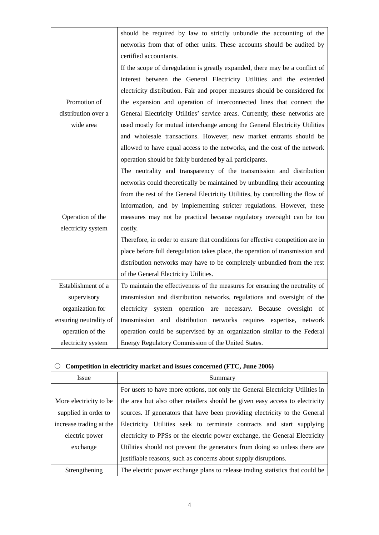|                        | should be required by law to strictly unbundle the accounting of the           |
|------------------------|--------------------------------------------------------------------------------|
|                        | networks from that of other units. These accounts should be audited by         |
|                        | certified accountants.                                                         |
|                        | If the scope of deregulation is greatly expanded, there may be a conflict of   |
|                        | interest between the General Electricity Utilities and the extended            |
|                        | electricity distribution. Fair and proper measures should be considered for    |
| Promotion of           | the expansion and operation of interconnected lines that connect the           |
| distribution over a    | General Electricity Utilities' service areas. Currently, these networks are    |
| wide area              | used mostly for mutual interchange among the General Electricity Utilities     |
|                        | and wholesale transactions. However, new market entrants should be             |
|                        | allowed to have equal access to the networks, and the cost of the network      |
|                        | operation should be fairly burdened by all participants.                       |
|                        | The neutrality and transparency of the transmission and distribution           |
|                        | networks could theoretically be maintained by unbundling their accounting      |
|                        | from the rest of the General Electricity Utilities, by controlling the flow of |
|                        | information, and by implementing stricter regulations. However, these          |
| Operation of the       | measures may not be practical because regulatory oversight can be too          |
| electricity system     | costly.                                                                        |
|                        | Therefore, in order to ensure that conditions for effective competition are in |
|                        | place before full deregulation takes place, the operation of transmission and  |
|                        | distribution networks may have to be completely unbundled from the rest        |
|                        | of the General Electricity Utilities.                                          |
| Establishment of a     | To maintain the effectiveness of the measures for ensuring the neutrality of   |
| supervisory            | transmission and distribution networks, regulations and oversight of the       |
| organization for       | electricity system operation are necessary. Because oversight of               |
| ensuring neutrality of | transmission and distribution networks requires expertise, network             |
| operation of the       | operation could be supervised by an organization similar to the Federal        |
| electricity system     | Energy Regulatory Commission of the United States.                             |
|                        |                                                                                |

# ○ **Competition in electricity market and issues concerned (FTC, June 2006)**

| <b>Issue</b>            | Summary                                                                       |
|-------------------------|-------------------------------------------------------------------------------|
|                         | For users to have more options, not only the General Electricity Utilities in |
| More electricity to be  | the area but also other retailers should be given easy access to electricity  |
| supplied in order to    | sources. If generators that have been providing electricity to the General    |
| increase trading at the | Electricity Utilities seek to terminate contracts and start supplying         |
| electric power          | electricity to PPSs or the electric power exchange, the General Electricity   |
| exchange                | Utilities should not prevent the generators from doing so unless there are    |
|                         | justifiable reasons, such as concerns about supply disruptions.               |
| Strengthening           | The electric power exchange plans to release trading statistics that could be |